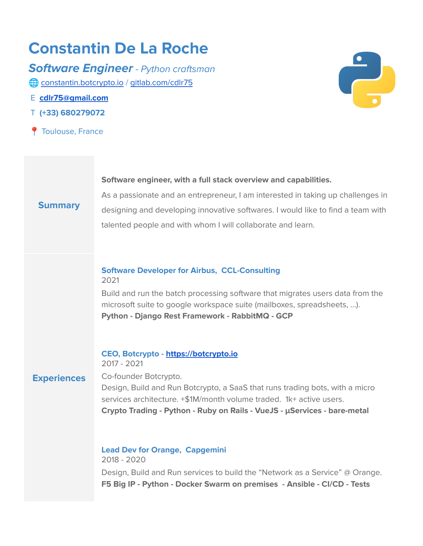# **Constantin De La Roche**

**Software Engineer** - Python craftsman [constantin.botcrypto.io](http://constantin.botcrypto.io) / [gitlab.com/cdlr75](https://gitlab.com/cdlr75)

- E **[cdlr75@gmail.com](mailto:cdlr75@gmail.com)**
- T **(+33) 680279072**
- **Toulouse, France**



#### **Software engineer, with a full stack overview and capabilities.**

## **Summary**

As a passionate and an entrepreneur, I am interested in taking up challenges in designing and developing innovative softwares. I would like to find a team with talented people and with whom I will collaborate and learn.

### **Software Developer for Airbus, CCL-Consulting** 2021

Build and run the batch processing software that migrates users data from the microsoft suite to google workspace suite (mailboxes, spreadsheets, ...). **Python - Django Rest Framework - RabbitMQ - GCP**

## **CEO, Botcrypto - <https://botcrypto.io>** 2017 - 2021

**Experiences**

Co-founder Botcrypto. Design, Build and Run Botcrypto, a SaaS that runs trading bots, with a micro services architecture. +\$1M/month volume traded. 1k+ active users. **Crypto Trading - Python - Ruby on Rails - VueJS - μServices - bare-metal**

**Lead Dev for Orange, Capgemini** 2018 - 2020 Design, Build and Run services to build the "Network as a Service" @ Orange. **F5 Big IP - Python - Docker Swarm on premises - Ansible - CI/CD - Tests**